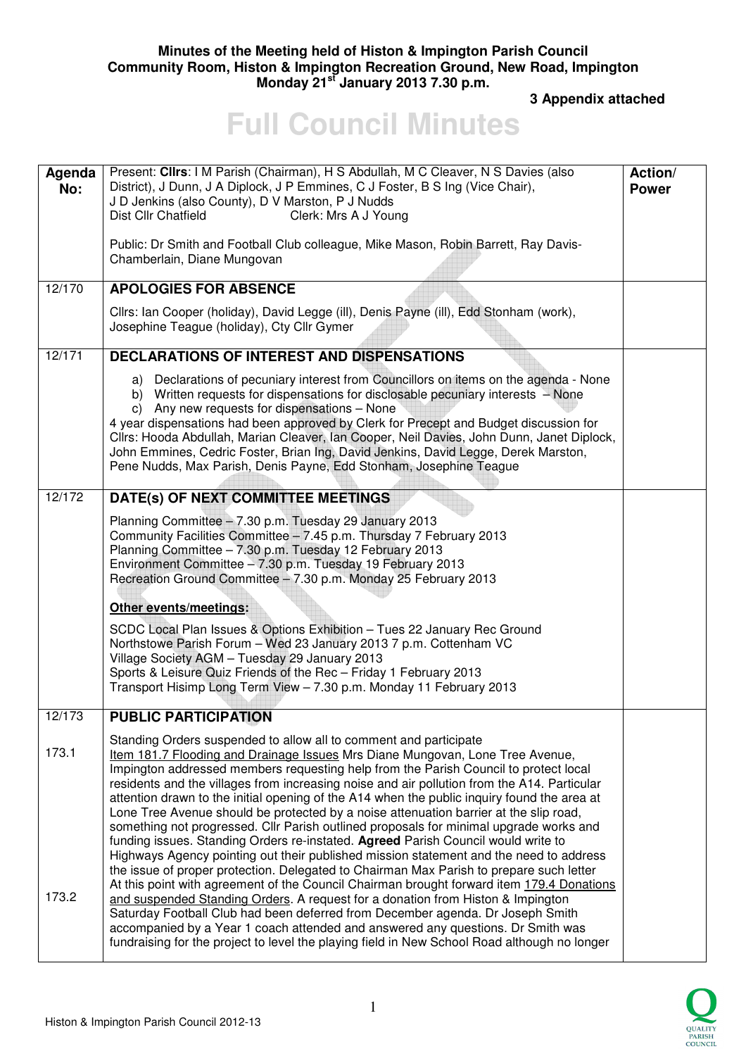## **Minutes of the Meeting held of Histon & Impington Parish Council Community Room, Histon & Impington Recreation Ground, New Road, Impington Monday 21st January 2013 7.30 p.m.**

 **3 Appendix attached** 

## **Full Council Minutes**

| Agenda<br>No:  | Present: Clirs: I M Parish (Chairman), H S Abdullah, M C Cleaver, N S Davies (also<br>District), J Dunn, J A Diplock, J P Emmines, C J Foster, B S Ing (Vice Chair),<br>J D Jenkins (also County), D V Marston, P J Nudds<br>Dist Cllr Chatfield<br>Clerk: Mrs A J Young<br>Public: Dr Smith and Football Club colleague, Mike Mason, Robin Barrett, Ray Davis-<br>Chamberlain, Diane Mungovan                                                                                                                                                                                                                                                                                                                                                                                                                                                                                                                                                                                                                                                                                        | Action/<br><b>Power</b> |
|----------------|---------------------------------------------------------------------------------------------------------------------------------------------------------------------------------------------------------------------------------------------------------------------------------------------------------------------------------------------------------------------------------------------------------------------------------------------------------------------------------------------------------------------------------------------------------------------------------------------------------------------------------------------------------------------------------------------------------------------------------------------------------------------------------------------------------------------------------------------------------------------------------------------------------------------------------------------------------------------------------------------------------------------------------------------------------------------------------------|-------------------------|
| 12/170         | <b>APOLOGIES FOR ABSENCE</b>                                                                                                                                                                                                                                                                                                                                                                                                                                                                                                                                                                                                                                                                                                                                                                                                                                                                                                                                                                                                                                                          |                         |
|                | Cllrs: Ian Cooper (holiday), David Legge (ill), Denis Payne (ill), Edd Stonham (work),<br>Josephine Teague (holiday), Cty Cllr Gymer                                                                                                                                                                                                                                                                                                                                                                                                                                                                                                                                                                                                                                                                                                                                                                                                                                                                                                                                                  |                         |
| 12/171         | <b>DECLARATIONS OF INTEREST AND DISPENSATIONS</b>                                                                                                                                                                                                                                                                                                                                                                                                                                                                                                                                                                                                                                                                                                                                                                                                                                                                                                                                                                                                                                     |                         |
|                | a) Declarations of pecuniary interest from Councillors on items on the agenda - None<br>b) Written requests for dispensations for disclosable pecuniary interests - None<br>c) Any new requests for dispensations - None<br>4 year dispensations had been approved by Clerk for Precept and Budget discussion for<br>Cllrs: Hooda Abdullah, Marian Cleaver, Ian Cooper, Neil Davies, John Dunn, Janet Diplock,<br>John Emmines, Cedric Foster, Brian Ing, David Jenkins, David Legge, Derek Marston,<br>Pene Nudds, Max Parish, Denis Payne, Edd Stonham, Josephine Teague                                                                                                                                                                                                                                                                                                                                                                                                                                                                                                            |                         |
| 12/172         | DATE(s) OF NEXT COMMITTEE MEETINGS                                                                                                                                                                                                                                                                                                                                                                                                                                                                                                                                                                                                                                                                                                                                                                                                                                                                                                                                                                                                                                                    |                         |
|                | Planning Committee - 7.30 p.m. Tuesday 29 January 2013<br>Community Facilities Committee - 7.45 p.m. Thursday 7 February 2013<br>Planning Committee - 7.30 p.m. Tuesday 12 February 2013<br>Environment Committee - 7.30 p.m. Tuesday 19 February 2013<br>Recreation Ground Committee - 7.30 p.m. Monday 25 February 2013<br>Other events/meetings:<br>SCDC Local Plan Issues & Options Exhibition - Tues 22 January Rec Ground<br>Northstowe Parish Forum - Wed 23 January 2013 7 p.m. Cottenham VC<br>Village Society AGM - Tuesday 29 January 2013<br>Sports & Leisure Quiz Friends of the Rec - Friday 1 February 2013<br>Transport Hisimp Long Term View - 7.30 p.m. Monday 11 February 2013                                                                                                                                                                                                                                                                                                                                                                                     |                         |
| 12/173         | <b>PUBLIC PARTICIPATION</b>                                                                                                                                                                                                                                                                                                                                                                                                                                                                                                                                                                                                                                                                                                                                                                                                                                                                                                                                                                                                                                                           |                         |
| 173.1<br>173.2 | Standing Orders suspended to allow all to comment and participate<br>Item 181.7 Flooding and Drainage Issues Mrs Diane Mungovan, Lone Tree Avenue,<br>Impington addressed members requesting help from the Parish Council to protect local<br>residents and the villages from increasing noise and air pollution from the A14. Particular<br>attention drawn to the initial opening of the A14 when the public inquiry found the area at<br>Lone Tree Avenue should be protected by a noise attenuation barrier at the slip road,<br>something not progressed. Cllr Parish outlined proposals for minimal upgrade works and<br>funding issues. Standing Orders re-instated. Agreed Parish Council would write to<br>Highways Agency pointing out their published mission statement and the need to address<br>the issue of proper protection. Delegated to Chairman Max Parish to prepare such letter<br>At this point with agreement of the Council Chairman brought forward item 179.4 Donations<br>and suspended Standing Orders. A request for a donation from Histon & Impington |                         |
|                | Saturday Football Club had been deferred from December agenda. Dr Joseph Smith<br>accompanied by a Year 1 coach attended and answered any questions. Dr Smith was<br>fundraising for the project to level the playing field in New School Road although no longer                                                                                                                                                                                                                                                                                                                                                                                                                                                                                                                                                                                                                                                                                                                                                                                                                     |                         |

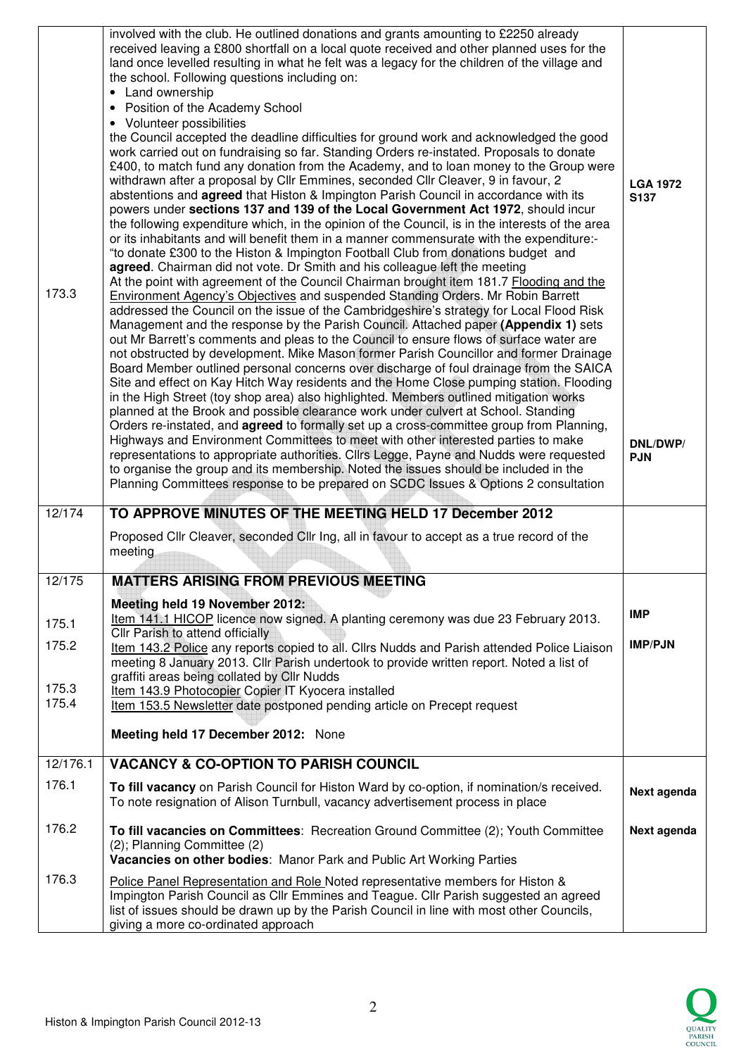| 173.3                            | involved with the club. He outlined donations and grants amounting to £2250 already<br>received leaving a £800 shortfall on a local quote received and other planned uses for the<br>land once levelled resulting in what he felt was a legacy for the children of the village and<br>the school. Following questions including on:<br>Land ownership<br>Position of the Academy School<br>$\bullet$<br>• Volunteer possibilities<br>the Council accepted the deadline difficulties for ground work and acknowledged the good<br>work carried out on fundraising so far. Standing Orders re-instated. Proposals to donate<br>£400, to match fund any donation from the Academy, and to loan money to the Group were<br>withdrawn after a proposal by Cllr Emmines, seconded Cllr Cleaver, 9 in favour, 2<br>abstentions and <b>agreed</b> that Histon & Impington Parish Council in accordance with its<br>powers under sections 137 and 139 of the Local Government Act 1972, should incur<br>the following expenditure which, in the opinion of the Council, is in the interests of the area<br>or its inhabitants and will benefit them in a manner commensurate with the expenditure:-<br>"to donate £300 to the Histon & Impington Football Club from donations budget and<br>agreed. Chairman did not vote. Dr Smith and his colleague left the meeting<br>At the point with agreement of the Council Chairman brought item 181.7 Flooding and the<br><b>Environment Agency's Objectives and suspended Standing Orders. Mr Robin Barrett</b><br>addressed the Council on the issue of the Cambridgeshire's strategy for Local Flood Risk<br>Management and the response by the Parish Council. Attached paper (Appendix 1) sets<br>out Mr Barrett's comments and pleas to the Council to ensure flows of surface water are<br>not obstructed by development. Mike Mason former Parish Councillor and former Drainage<br>Board Member outlined personal concerns over discharge of foul drainage from the SAICA<br>Site and effect on Kay Hitch Way residents and the Home Close pumping station. Flooding<br>in the High Street (toy shop area) also highlighted. Members outlined mitigation works<br>planned at the Brook and possible clearance work under culvert at School. Standing<br>Orders re-instated, and <b>agreed</b> to formally set up a cross-committee group from Planning,<br>Highways and Environment Committees to meet with other interested parties to make<br>representations to appropriate authorities. Cllrs Legge, Payne and Nudds were requested<br>to organise the group and its membership. Noted the issues should be included in the<br>Planning Committees response to be prepared on SCDC Issues & Options 2 consultation | <b>LGA 1972</b><br>S137<br>DNL/DWP/<br><b>PJN</b> |
|----------------------------------|-------------------------------------------------------------------------------------------------------------------------------------------------------------------------------------------------------------------------------------------------------------------------------------------------------------------------------------------------------------------------------------------------------------------------------------------------------------------------------------------------------------------------------------------------------------------------------------------------------------------------------------------------------------------------------------------------------------------------------------------------------------------------------------------------------------------------------------------------------------------------------------------------------------------------------------------------------------------------------------------------------------------------------------------------------------------------------------------------------------------------------------------------------------------------------------------------------------------------------------------------------------------------------------------------------------------------------------------------------------------------------------------------------------------------------------------------------------------------------------------------------------------------------------------------------------------------------------------------------------------------------------------------------------------------------------------------------------------------------------------------------------------------------------------------------------------------------------------------------------------------------------------------------------------------------------------------------------------------------------------------------------------------------------------------------------------------------------------------------------------------------------------------------------------------------------------------------------------------------------------------------------------------------------------------------------------------------------------------------------------------------------------------------------------------------------------------------------------------------------------------------------------------------------------------------------------------------------------------------------------------------------------------------------------------------------------------------------------------------------------------------------------|---------------------------------------------------|
| 12/174                           | TO APPROVE MINUTES OF THE MEETING HELD 17 December 2012                                                                                                                                                                                                                                                                                                                                                                                                                                                                                                                                                                                                                                                                                                                                                                                                                                                                                                                                                                                                                                                                                                                                                                                                                                                                                                                                                                                                                                                                                                                                                                                                                                                                                                                                                                                                                                                                                                                                                                                                                                                                                                                                                                                                                                                                                                                                                                                                                                                                                                                                                                                                                                                                                                           |                                                   |
|                                  | Proposed Cllr Cleaver, seconded Cllr Ing, all in favour to accept as a true record of the<br>meeting                                                                                                                                                                                                                                                                                                                                                                                                                                                                                                                                                                                                                                                                                                                                                                                                                                                                                                                                                                                                                                                                                                                                                                                                                                                                                                                                                                                                                                                                                                                                                                                                                                                                                                                                                                                                                                                                                                                                                                                                                                                                                                                                                                                                                                                                                                                                                                                                                                                                                                                                                                                                                                                              |                                                   |
| 12/175                           | <b>MATTERS ARISING FROM PREVIOUS MEETING</b>                                                                                                                                                                                                                                                                                                                                                                                                                                                                                                                                                                                                                                                                                                                                                                                                                                                                                                                                                                                                                                                                                                                                                                                                                                                                                                                                                                                                                                                                                                                                                                                                                                                                                                                                                                                                                                                                                                                                                                                                                                                                                                                                                                                                                                                                                                                                                                                                                                                                                                                                                                                                                                                                                                                      |                                                   |
| 175.1<br>175.2<br>175.3<br>175.4 | Meeting held 19 November 2012:<br>Item 141.1 HICOP licence now signed. A planting ceremony was due 23 February 2013.<br>Cllr Parish to attend officially<br>Item 143.2 Police any reports copied to all. Cllrs Nudds and Parish attended Police Liaison<br>meeting 8 January 2013. Cllr Parish undertook to provide written report. Noted a list of<br>graffiti areas being collated by Cllr Nudds<br>Item 143.9 Photocopier Copier IT Kyocera installed<br>Item 153.5 Newsletter date postponed pending article on Precept request                                                                                                                                                                                                                                                                                                                                                                                                                                                                                                                                                                                                                                                                                                                                                                                                                                                                                                                                                                                                                                                                                                                                                                                                                                                                                                                                                                                                                                                                                                                                                                                                                                                                                                                                                                                                                                                                                                                                                                                                                                                                                                                                                                                                                               | <b>IMP</b><br><b>IMP/PJN</b>                      |
|                                  | Meeting held 17 December 2012: None                                                                                                                                                                                                                                                                                                                                                                                                                                                                                                                                                                                                                                                                                                                                                                                                                                                                                                                                                                                                                                                                                                                                                                                                                                                                                                                                                                                                                                                                                                                                                                                                                                                                                                                                                                                                                                                                                                                                                                                                                                                                                                                                                                                                                                                                                                                                                                                                                                                                                                                                                                                                                                                                                                                               |                                                   |
| 12/176.1                         | <b>VACANCY &amp; CO-OPTION TO PARISH COUNCIL</b>                                                                                                                                                                                                                                                                                                                                                                                                                                                                                                                                                                                                                                                                                                                                                                                                                                                                                                                                                                                                                                                                                                                                                                                                                                                                                                                                                                                                                                                                                                                                                                                                                                                                                                                                                                                                                                                                                                                                                                                                                                                                                                                                                                                                                                                                                                                                                                                                                                                                                                                                                                                                                                                                                                                  |                                                   |
| 176.1                            | To fill vacancy on Parish Council for Histon Ward by co-option, if nomination/s received.<br>To note resignation of Alison Turnbull, vacancy advertisement process in place                                                                                                                                                                                                                                                                                                                                                                                                                                                                                                                                                                                                                                                                                                                                                                                                                                                                                                                                                                                                                                                                                                                                                                                                                                                                                                                                                                                                                                                                                                                                                                                                                                                                                                                                                                                                                                                                                                                                                                                                                                                                                                                                                                                                                                                                                                                                                                                                                                                                                                                                                                                       | Next agenda                                       |
| 176.2                            | To fill vacancies on Committees: Recreation Ground Committee (2); Youth Committee<br>(2); Planning Committee (2)<br>Vacancies on other bodies: Manor Park and Public Art Working Parties                                                                                                                                                                                                                                                                                                                                                                                                                                                                                                                                                                                                                                                                                                                                                                                                                                                                                                                                                                                                                                                                                                                                                                                                                                                                                                                                                                                                                                                                                                                                                                                                                                                                                                                                                                                                                                                                                                                                                                                                                                                                                                                                                                                                                                                                                                                                                                                                                                                                                                                                                                          | Next agenda                                       |
| 176.3                            | Police Panel Representation and Role Noted representative members for Histon &<br>Impington Parish Council as Cllr Emmines and Teague. Cllr Parish suggested an agreed<br>list of issues should be drawn up by the Parish Council in line with most other Councils,<br>giving a more co-ordinated approach                                                                                                                                                                                                                                                                                                                                                                                                                                                                                                                                                                                                                                                                                                                                                                                                                                                                                                                                                                                                                                                                                                                                                                                                                                                                                                                                                                                                                                                                                                                                                                                                                                                                                                                                                                                                                                                                                                                                                                                                                                                                                                                                                                                                                                                                                                                                                                                                                                                        |                                                   |

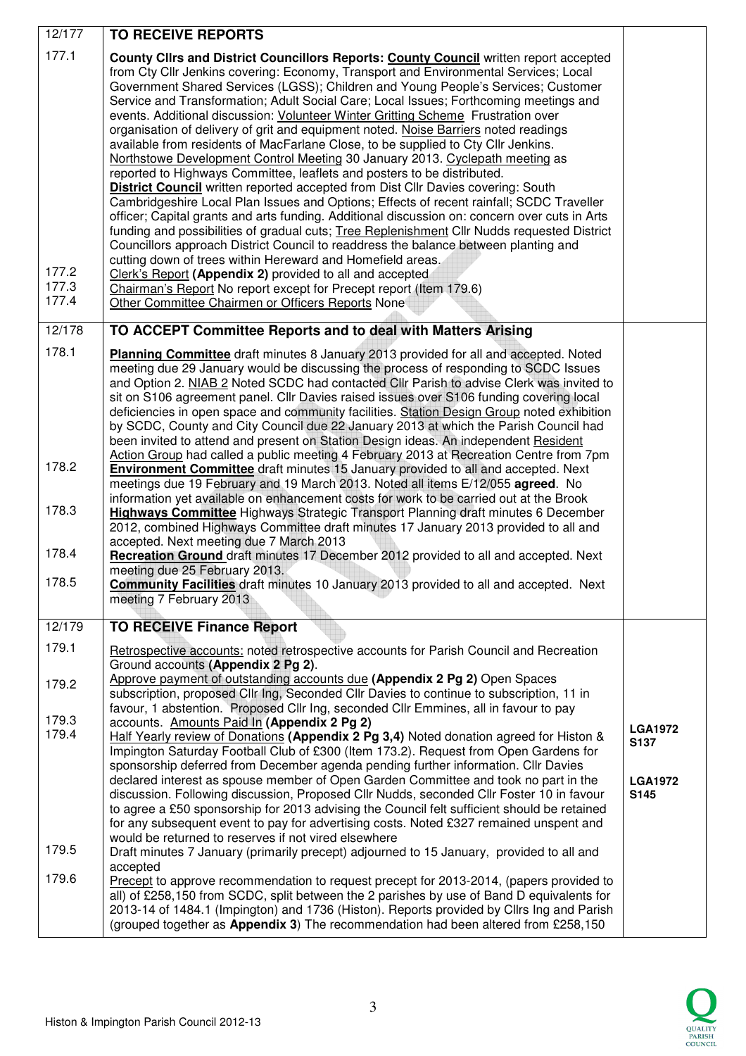| 12/177                           | <b>TO RECEIVE REPORTS</b>                                                                                                                                                                                                                                                                                                                                                                                                                                                                                                                                                                                                                                                                                                                                                                                                                                                                                                                                                                                                                                                                                                                                                                                                                                                                                                                                                                                                                                                                                                 |                                                  |
|----------------------------------|---------------------------------------------------------------------------------------------------------------------------------------------------------------------------------------------------------------------------------------------------------------------------------------------------------------------------------------------------------------------------------------------------------------------------------------------------------------------------------------------------------------------------------------------------------------------------------------------------------------------------------------------------------------------------------------------------------------------------------------------------------------------------------------------------------------------------------------------------------------------------------------------------------------------------------------------------------------------------------------------------------------------------------------------------------------------------------------------------------------------------------------------------------------------------------------------------------------------------------------------------------------------------------------------------------------------------------------------------------------------------------------------------------------------------------------------------------------------------------------------------------------------------|--------------------------------------------------|
| 177.1<br>177.2<br>177.3<br>177.4 | County Clirs and District Councillors Reports: County Council written report accepted<br>from Cty Cllr Jenkins covering: Economy, Transport and Environmental Services; Local<br>Government Shared Services (LGSS); Children and Young People's Services; Customer<br>Service and Transformation; Adult Social Care; Local Issues; Forthcoming meetings and<br>events. Additional discussion: Volunteer Winter Gritting Scheme Frustration over<br>organisation of delivery of grit and equipment noted. Noise Barriers noted readings<br>available from residents of MacFarlane Close, to be supplied to Cty Cllr Jenkins.<br>Northstowe Development Control Meeting 30 January 2013. Cyclepath meeting as<br>reported to Highways Committee, leaflets and posters to be distributed.<br><b>District Council</b> written reported accepted from Dist Cllr Davies covering: South<br>Cambridgeshire Local Plan Issues and Options; Effects of recent rainfall; SCDC Traveller<br>officer; Capital grants and arts funding. Additional discussion on: concern over cuts in Arts<br>funding and possibilities of gradual cuts; Tree Replenishment Cllr Nudds requested District<br>Councillors approach District Council to readdress the balance between planting and<br>cutting down of trees within Hereward and Homefield areas.<br>Clerk's Report (Appendix 2) provided to all and accepted<br>Chairman's Report No report except for Precept report (Item 179.6)<br>Other Committee Chairmen or Officers Reports None |                                                  |
| 12/178                           | TO ACCEPT Committee Reports and to deal with Matters Arising                                                                                                                                                                                                                                                                                                                                                                                                                                                                                                                                                                                                                                                                                                                                                                                                                                                                                                                                                                                                                                                                                                                                                                                                                                                                                                                                                                                                                                                              |                                                  |
| 178.1                            | Planning Committee draft minutes 8 January 2013 provided for all and accepted. Noted<br>meeting due 29 January would be discussing the process of responding to SCDC Issues<br>and Option 2. NIAB 2 Noted SCDC had contacted CIIr Parish to advise Clerk was invited to<br>sit on S106 agreement panel. Cllr Davies raised issues over S106 funding covering local<br>deficiencies in open space and community facilities. Station Design Group noted exhibition<br>by SCDC, County and City Council due 22 January 2013 at which the Parish Council had<br>been invited to attend and present on Station Design ideas. An independent Resident<br>Action Group had called a public meeting 4 February 2013 at Recreation Centre from 7pm                                                                                                                                                                                                                                                                                                                                                                                                                                                                                                                                                                                                                                                                                                                                                                                 |                                                  |
| 178.2                            | <b>Environment Committee</b> draft minutes 15 January provided to all and accepted. Next<br>meetings due 19 February and 19 March 2013. Noted all items E/12/055 agreed. No<br>information yet available on enhancement costs for work to be carried out at the Brook                                                                                                                                                                                                                                                                                                                                                                                                                                                                                                                                                                                                                                                                                                                                                                                                                                                                                                                                                                                                                                                                                                                                                                                                                                                     |                                                  |
| 178.3                            | <b>Highways Committee</b> Highways Strategic Transport Planning draft minutes 6 December<br>2012, combined Highways Committee draft minutes 17 January 2013 provided to all and<br>accepted. Next meeting due 7 March 2013                                                                                                                                                                                                                                                                                                                                                                                                                                                                                                                                                                                                                                                                                                                                                                                                                                                                                                                                                                                                                                                                                                                                                                                                                                                                                                |                                                  |
| 178.4                            | Recreation Ground draft minutes 17 December 2012 provided to all and accepted. Next<br>meeting due 25 February 2013.                                                                                                                                                                                                                                                                                                                                                                                                                                                                                                                                                                                                                                                                                                                                                                                                                                                                                                                                                                                                                                                                                                                                                                                                                                                                                                                                                                                                      |                                                  |
| 178.5                            | Community Facilities draft minutes 10 January 2013 provided to all and accepted. Next<br>meeting 7 February 2013                                                                                                                                                                                                                                                                                                                                                                                                                                                                                                                                                                                                                                                                                                                                                                                                                                                                                                                                                                                                                                                                                                                                                                                                                                                                                                                                                                                                          |                                                  |
| 12/179                           | <b>TO RECEIVE Finance Report</b>                                                                                                                                                                                                                                                                                                                                                                                                                                                                                                                                                                                                                                                                                                                                                                                                                                                                                                                                                                                                                                                                                                                                                                                                                                                                                                                                                                                                                                                                                          |                                                  |
| 179.1                            | Retrospective accounts: noted retrospective accounts for Parish Council and Recreation<br>Ground accounts (Appendix 2 Pg 2).                                                                                                                                                                                                                                                                                                                                                                                                                                                                                                                                                                                                                                                                                                                                                                                                                                                                                                                                                                                                                                                                                                                                                                                                                                                                                                                                                                                              |                                                  |
| 179.2                            | Approve payment of outstanding accounts due (Appendix 2 Pg 2) Open Spaces<br>subscription, proposed Cllr Ing, Seconded Cllr Davies to continue to subscription, 11 in<br>favour, 1 abstention. Proposed Cllr Ing, seconded Cllr Emmines, all in favour to pay                                                                                                                                                                                                                                                                                                                                                                                                                                                                                                                                                                                                                                                                                                                                                                                                                                                                                                                                                                                                                                                                                                                                                                                                                                                             |                                                  |
| 179.3<br>179.4                   | accounts. Amounts Paid In (Appendix 2 Pg 2)<br>Half Yearly review of Donations (Appendix 2 Pg 3,4) Noted donation agreed for Histon &<br>Impington Saturday Football Club of £300 (Item 173.2). Request from Open Gardens for<br>sponsorship deferred from December agenda pending further information. Cllr Davies<br>declared interest as spouse member of Open Garden Committee and took no part in the<br>discussion. Following discussion, Proposed Cllr Nudds, seconded Cllr Foster 10 in favour<br>to agree a £50 sponsorship for 2013 advising the Council felt sufficient should be retained<br>for any subsequent event to pay for advertising costs. Noted £327 remained unspent and<br>would be returned to reserves if not vired elsewhere                                                                                                                                                                                                                                                                                                                                                                                                                                                                                                                                                                                                                                                                                                                                                                   | <b>LGA1972</b><br>S137<br><b>LGA1972</b><br>S145 |
| 179.5                            | Draft minutes 7 January (primarily precept) adjourned to 15 January, provided to all and<br>accepted                                                                                                                                                                                                                                                                                                                                                                                                                                                                                                                                                                                                                                                                                                                                                                                                                                                                                                                                                                                                                                                                                                                                                                                                                                                                                                                                                                                                                      |                                                  |
| 179.6                            | Precept to approve recommendation to request precept for 2013-2014, (papers provided to<br>all) of £258,150 from SCDC, split between the 2 parishes by use of Band D equivalents for<br>2013-14 of 1484.1 (Impington) and 1736 (Histon). Reports provided by Cllrs Ing and Parish<br>(grouped together as Appendix 3) The recommendation had been altered from £258,150                                                                                                                                                                                                                                                                                                                                                                                                                                                                                                                                                                                                                                                                                                                                                                                                                                                                                                                                                                                                                                                                                                                                                   |                                                  |

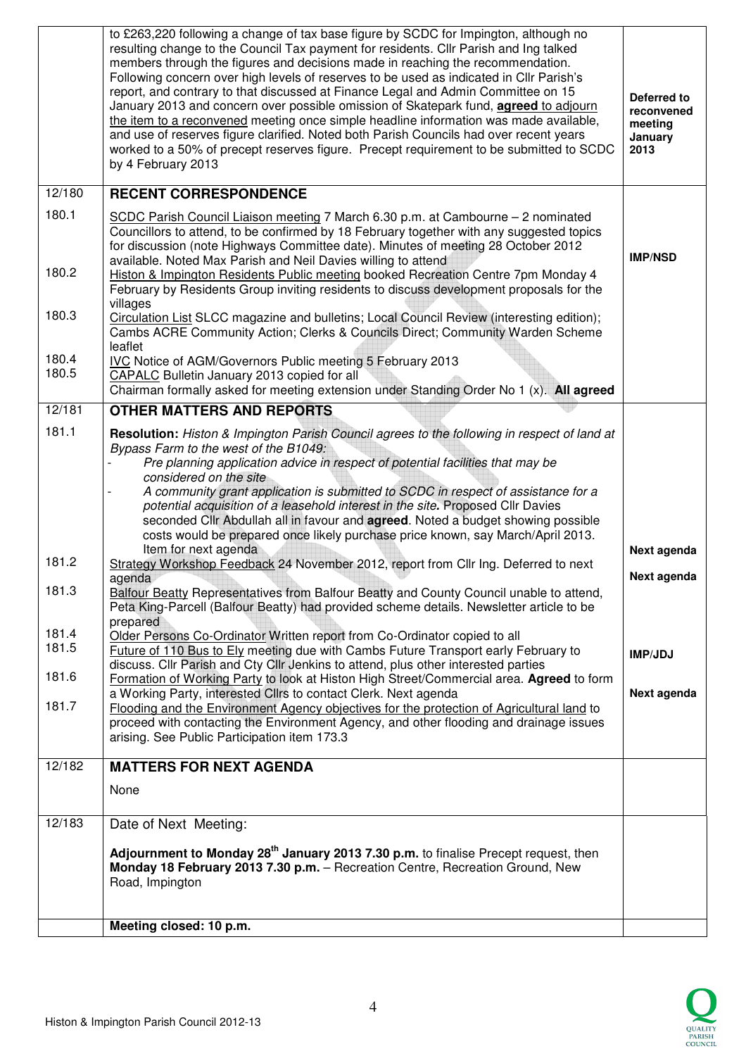| 180.3<br>180.4<br>180.5<br>12/181<br>181.1<br>181.2<br>181.3<br>181.4<br>181.5<br>181.6<br>181.7<br>12/182<br>12/183 | Chairman formally asked for meeting extension under Standing Order No 1 (x). All agreed<br><b>OTHER MATTERS AND REPORTS</b><br>Resolution: Histon & Impington Parish Council agrees to the following in respect of land at<br>Bypass Farm to the west of the B1049:<br>Pre planning application advice in respect of potential facilities that may be<br>considered on the site<br>A community grant application is submitted to SCDC in respect of assistance for a<br>potential acquisition of a leasehold interest in the site. Proposed Cllr Davies<br>seconded Cllr Abdullah all in favour and <b>agreed</b> . Noted a budget showing possible<br>costs would be prepared once likely purchase price known, say March/April 2013.<br>Item for next agenda<br>Strategy Workshop Feedback 24 November 2012, report from Cllr Ing. Deferred to next<br>agenda<br>Balfour Beatty Representatives from Balfour Beatty and County Council unable to attend,<br>Peta King-Parcell (Balfour Beatty) had provided scheme details. Newsletter article to be<br>prepared<br>Older Persons Co-Ordinator Written report from Co-Ordinator copied to all<br>Future of 110 Bus to Ely meeting due with Cambs Future Transport early February to<br>discuss. Cllr Parish and Cty Cllr Jenkins to attend, plus other interested parties<br>Formation of Working Party to look at Histon High Street/Commercial area. Agreed to form<br>a Working Party, interested Cllrs to contact Clerk. Next agenda<br>Flooding and the Environment Agency objectives for the protection of Agricultural land to<br>proceed with contacting the Environment Agency, and other flooding and drainage issues<br>arising. See Public Participation item 173.3<br><b>MATTERS FOR NEXT AGENDA</b><br>None<br>Date of Next Meeting:<br>Adjournment to Monday 28 <sup>th</sup> January 2013 7.30 p.m. to finalise Precept request, then<br>Monday 18 February 2013 7.30 p.m. - Recreation Centre, Recreation Ground, New<br>Road, Impington | Next agenda<br>Next agenda<br>IMPJDJ<br>Next agenda     |
|----------------------------------------------------------------------------------------------------------------------|-------------------------------------------------------------------------------------------------------------------------------------------------------------------------------------------------------------------------------------------------------------------------------------------------------------------------------------------------------------------------------------------------------------------------------------------------------------------------------------------------------------------------------------------------------------------------------------------------------------------------------------------------------------------------------------------------------------------------------------------------------------------------------------------------------------------------------------------------------------------------------------------------------------------------------------------------------------------------------------------------------------------------------------------------------------------------------------------------------------------------------------------------------------------------------------------------------------------------------------------------------------------------------------------------------------------------------------------------------------------------------------------------------------------------------------------------------------------------------------------------------------------------------------------------------------------------------------------------------------------------------------------------------------------------------------------------------------------------------------------------------------------------------------------------------------------------------------------------------------------------------------------------------------------------------------------------------------------------------------------------------------|---------------------------------------------------------|
|                                                                                                                      |                                                                                                                                                                                                                                                                                                                                                                                                                                                                                                                                                                                                                                                                                                                                                                                                                                                                                                                                                                                                                                                                                                                                                                                                                                                                                                                                                                                                                                                                                                                                                                                                                                                                                                                                                                                                                                                                                                                                                                                                             |                                                         |
|                                                                                                                      |                                                                                                                                                                                                                                                                                                                                                                                                                                                                                                                                                                                                                                                                                                                                                                                                                                                                                                                                                                                                                                                                                                                                                                                                                                                                                                                                                                                                                                                                                                                                                                                                                                                                                                                                                                                                                                                                                                                                                                                                             |                                                         |
|                                                                                                                      |                                                                                                                                                                                                                                                                                                                                                                                                                                                                                                                                                                                                                                                                                                                                                                                                                                                                                                                                                                                                                                                                                                                                                                                                                                                                                                                                                                                                                                                                                                                                                                                                                                                                                                                                                                                                                                                                                                                                                                                                             |                                                         |
|                                                                                                                      |                                                                                                                                                                                                                                                                                                                                                                                                                                                                                                                                                                                                                                                                                                                                                                                                                                                                                                                                                                                                                                                                                                                                                                                                                                                                                                                                                                                                                                                                                                                                                                                                                                                                                                                                                                                                                                                                                                                                                                                                             |                                                         |
|                                                                                                                      |                                                                                                                                                                                                                                                                                                                                                                                                                                                                                                                                                                                                                                                                                                                                                                                                                                                                                                                                                                                                                                                                                                                                                                                                                                                                                                                                                                                                                                                                                                                                                                                                                                                                                                                                                                                                                                                                                                                                                                                                             |                                                         |
|                                                                                                                      |                                                                                                                                                                                                                                                                                                                                                                                                                                                                                                                                                                                                                                                                                                                                                                                                                                                                                                                                                                                                                                                                                                                                                                                                                                                                                                                                                                                                                                                                                                                                                                                                                                                                                                                                                                                                                                                                                                                                                                                                             |                                                         |
|                                                                                                                      |                                                                                                                                                                                                                                                                                                                                                                                                                                                                                                                                                                                                                                                                                                                                                                                                                                                                                                                                                                                                                                                                                                                                                                                                                                                                                                                                                                                                                                                                                                                                                                                                                                                                                                                                                                                                                                                                                                                                                                                                             |                                                         |
|                                                                                                                      |                                                                                                                                                                                                                                                                                                                                                                                                                                                                                                                                                                                                                                                                                                                                                                                                                                                                                                                                                                                                                                                                                                                                                                                                                                                                                                                                                                                                                                                                                                                                                                                                                                                                                                                                                                                                                                                                                                                                                                                                             |                                                         |
|                                                                                                                      |                                                                                                                                                                                                                                                                                                                                                                                                                                                                                                                                                                                                                                                                                                                                                                                                                                                                                                                                                                                                                                                                                                                                                                                                                                                                                                                                                                                                                                                                                                                                                                                                                                                                                                                                                                                                                                                                                                                                                                                                             |                                                         |
|                                                                                                                      |                                                                                                                                                                                                                                                                                                                                                                                                                                                                                                                                                                                                                                                                                                                                                                                                                                                                                                                                                                                                                                                                                                                                                                                                                                                                                                                                                                                                                                                                                                                                                                                                                                                                                                                                                                                                                                                                                                                                                                                                             |                                                         |
|                                                                                                                      |                                                                                                                                                                                                                                                                                                                                                                                                                                                                                                                                                                                                                                                                                                                                                                                                                                                                                                                                                                                                                                                                                                                                                                                                                                                                                                                                                                                                                                                                                                                                                                                                                                                                                                                                                                                                                                                                                                                                                                                                             |                                                         |
|                                                                                                                      | CAPALC Bulletin January 2013 copied for all                                                                                                                                                                                                                                                                                                                                                                                                                                                                                                                                                                                                                                                                                                                                                                                                                                                                                                                                                                                                                                                                                                                                                                                                                                                                                                                                                                                                                                                                                                                                                                                                                                                                                                                                                                                                                                                                                                                                                                 |                                                         |
|                                                                                                                      | leaflet<br><b>IVC Notice of AGM/Governors Public meeting 5 February 2013</b>                                                                                                                                                                                                                                                                                                                                                                                                                                                                                                                                                                                                                                                                                                                                                                                                                                                                                                                                                                                                                                                                                                                                                                                                                                                                                                                                                                                                                                                                                                                                                                                                                                                                                                                                                                                                                                                                                                                                |                                                         |
|                                                                                                                      | villages<br>Circulation List SLCC magazine and bulletins; Local Council Review (interesting edition);<br>Cambs ACRE Community Action; Clerks & Councils Direct; Community Warden Scheme                                                                                                                                                                                                                                                                                                                                                                                                                                                                                                                                                                                                                                                                                                                                                                                                                                                                                                                                                                                                                                                                                                                                                                                                                                                                                                                                                                                                                                                                                                                                                                                                                                                                                                                                                                                                                     |                                                         |
| 180.2                                                                                                                | Councillors to attend, to be confirmed by 18 February together with any suggested topics<br>for discussion (note Highways Committee date). Minutes of meeting 28 October 2012<br>available. Noted Max Parish and Neil Davies willing to attend<br>Histon & Impington Residents Public meeting booked Recreation Centre 7pm Monday 4<br>February by Residents Group inviting residents to discuss development proposals for the                                                                                                                                                                                                                                                                                                                                                                                                                                                                                                                                                                                                                                                                                                                                                                                                                                                                                                                                                                                                                                                                                                                                                                                                                                                                                                                                                                                                                                                                                                                                                                              | <b>IMP/NSD</b>                                          |
| 180.1                                                                                                                | SCDC Parish Council Liaison meeting 7 March 6.30 p.m. at Cambourne - 2 nominated                                                                                                                                                                                                                                                                                                                                                                                                                                                                                                                                                                                                                                                                                                                                                                                                                                                                                                                                                                                                                                                                                                                                                                                                                                                                                                                                                                                                                                                                                                                                                                                                                                                                                                                                                                                                                                                                                                                            |                                                         |
| 12/180                                                                                                               | <b>RECENT CORRESPONDENCE</b>                                                                                                                                                                                                                                                                                                                                                                                                                                                                                                                                                                                                                                                                                                                                                                                                                                                                                                                                                                                                                                                                                                                                                                                                                                                                                                                                                                                                                                                                                                                                                                                                                                                                                                                                                                                                                                                                                                                                                                                |                                                         |
|                                                                                                                      | to £263,220 following a change of tax base figure by SCDC for Impington, although no<br>resulting change to the Council Tax payment for residents. Cllr Parish and Ing talked<br>members through the figures and decisions made in reaching the recommendation.<br>Following concern over high levels of reserves to be used as indicated in Cllr Parish's<br>report, and contrary to that discussed at Finance Legal and Admin Committee on 15<br>January 2013 and concern over possible omission of Skatepark fund, <b>agreed</b> to adjourn<br>the item to a reconvened meeting once simple headline information was made available,<br>and use of reserves figure clarified. Noted both Parish Councils had over recent years<br>worked to a 50% of precept reserves figure. Precept requirement to be submitted to SCDC<br>by 4 February 2013                                                                                                                                                                                                                                                                                                                                                                                                                                                                                                                                                                                                                                                                                                                                                                                                                                                                                                                                                                                                                                                                                                                                                          | Deferred to<br>reconvened<br>meeting<br>January<br>2013 |